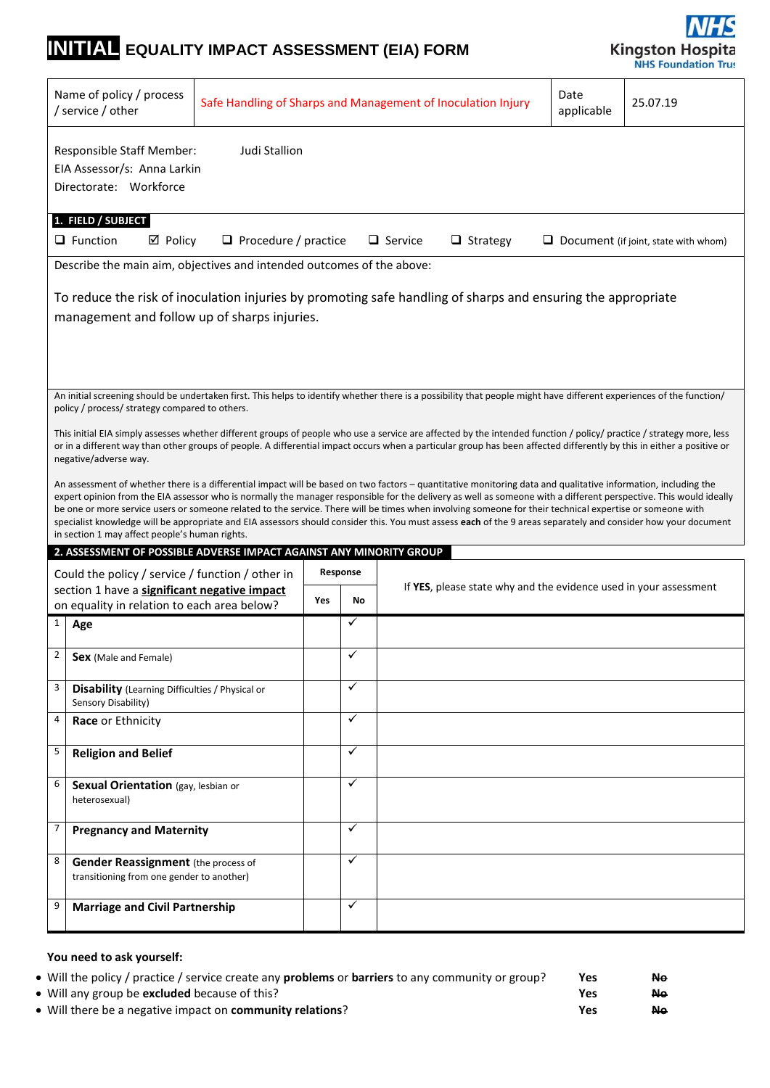# **INITIAL EQUALITY IMPACT ASSESSMENT (EIA) FORM**



|                                                                                                                                                                                                                                                                                                                                                                                                                                                                                                                                                                                                                                                                                                                     | Name of policy / process<br>/ service / other                                                                                                                                                                                                                                                                                                                          | Date<br>Safe Handling of Sharps and Management of Inoculation Injury<br>25.07.19<br>applicable |     |              |                                                                                                                                                                      |  |  |  |
|---------------------------------------------------------------------------------------------------------------------------------------------------------------------------------------------------------------------------------------------------------------------------------------------------------------------------------------------------------------------------------------------------------------------------------------------------------------------------------------------------------------------------------------------------------------------------------------------------------------------------------------------------------------------------------------------------------------------|------------------------------------------------------------------------------------------------------------------------------------------------------------------------------------------------------------------------------------------------------------------------------------------------------------------------------------------------------------------------|------------------------------------------------------------------------------------------------|-----|--------------|----------------------------------------------------------------------------------------------------------------------------------------------------------------------|--|--|--|
|                                                                                                                                                                                                                                                                                                                                                                                                                                                                                                                                                                                                                                                                                                                     | Judi Stallion<br><b>Responsible Staff Member:</b><br>EIA Assessor/s: Anna Larkin<br>Directorate: Workforce                                                                                                                                                                                                                                                             |                                                                                                |     |              |                                                                                                                                                                      |  |  |  |
|                                                                                                                                                                                                                                                                                                                                                                                                                                                                                                                                                                                                                                                                                                                     | 1. FIELD / SUBJECT<br>$\Box$ Function<br>$\Box$ Service<br>$\boxtimes$ Policy<br>$\Box$ Procedure / practice<br>$\Box$ Strategy<br>$\Box$ Document (if joint, state with whom)                                                                                                                                                                                         |                                                                                                |     |              |                                                                                                                                                                      |  |  |  |
|                                                                                                                                                                                                                                                                                                                                                                                                                                                                                                                                                                                                                                                                                                                     | Describe the main aim, objectives and intended outcomes of the above:                                                                                                                                                                                                                                                                                                  |                                                                                                |     |              |                                                                                                                                                                      |  |  |  |
|                                                                                                                                                                                                                                                                                                                                                                                                                                                                                                                                                                                                                                                                                                                     | management and follow up of sharps injuries.                                                                                                                                                                                                                                                                                                                           |                                                                                                |     |              | To reduce the risk of inoculation injuries by promoting safe handling of sharps and ensuring the appropriate                                                         |  |  |  |
|                                                                                                                                                                                                                                                                                                                                                                                                                                                                                                                                                                                                                                                                                                                     |                                                                                                                                                                                                                                                                                                                                                                        |                                                                                                |     |              |                                                                                                                                                                      |  |  |  |
|                                                                                                                                                                                                                                                                                                                                                                                                                                                                                                                                                                                                                                                                                                                     | policy / process/ strategy compared to others.                                                                                                                                                                                                                                                                                                                         |                                                                                                |     |              | An initial screening should be undertaken first. This helps to identify whether there is a possibility that people might have different experiences of the function/ |  |  |  |
|                                                                                                                                                                                                                                                                                                                                                                                                                                                                                                                                                                                                                                                                                                                     | This initial EIA simply assesses whether different groups of people who use a service are affected by the intended function / policy/ practice / strategy more, less<br>or in a different way than other groups of people. A differential impact occurs when a particular group has been affected differently by this in either a positive or<br>negative/adverse way. |                                                                                                |     |              |                                                                                                                                                                      |  |  |  |
| An assessment of whether there is a differential impact will be based on two factors - quantitative monitoring data and qualitative information, including the<br>expert opinion from the EIA assessor who is normally the manager responsible for the delivery as well as someone with a different perspective. This would ideally<br>be one or more service users or someone related to the service. There will be times when involving someone for their technical expertise or someone with<br>specialist knowledge will be appropriate and EIA assessors should consider this. You must assess each of the 9 areas separately and consider how your document<br>in section 1 may affect people's human rights. |                                                                                                                                                                                                                                                                                                                                                                        |                                                                                                |     |              |                                                                                                                                                                      |  |  |  |
|                                                                                                                                                                                                                                                                                                                                                                                                                                                                                                                                                                                                                                                                                                                     | 2. ASSESSMENT OF POSSIBLE ADVERSE IMPACT AGAINST ANY MINORITY GROUP                                                                                                                                                                                                                                                                                                    |                                                                                                |     |              |                                                                                                                                                                      |  |  |  |
|                                                                                                                                                                                                                                                                                                                                                                                                                                                                                                                                                                                                                                                                                                                     | Could the policy / service / function / other in                                                                                                                                                                                                                                                                                                                       |                                                                                                |     | Response     |                                                                                                                                                                      |  |  |  |
| section 1 have a significant negative impact<br>on equality in relation to each area below?                                                                                                                                                                                                                                                                                                                                                                                                                                                                                                                                                                                                                         |                                                                                                                                                                                                                                                                                                                                                                        |                                                                                                | Yes | No           | If YES, please state why and the evidence used in your assessment                                                                                                    |  |  |  |
| $\mathbf{1}$                                                                                                                                                                                                                                                                                                                                                                                                                                                                                                                                                                                                                                                                                                        | Age                                                                                                                                                                                                                                                                                                                                                                    |                                                                                                |     | $\checkmark$ |                                                                                                                                                                      |  |  |  |
| 2                                                                                                                                                                                                                                                                                                                                                                                                                                                                                                                                                                                                                                                                                                                   | Sex (Male and Female)                                                                                                                                                                                                                                                                                                                                                  |                                                                                                |     | ✓            |                                                                                                                                                                      |  |  |  |
| 3                                                                                                                                                                                                                                                                                                                                                                                                                                                                                                                                                                                                                                                                                                                   | <b>Disability</b> (Learning Difficulties / Physical or<br>Sensory Disability)                                                                                                                                                                                                                                                                                          |                                                                                                |     | $\checkmark$ |                                                                                                                                                                      |  |  |  |
| 4                                                                                                                                                                                                                                                                                                                                                                                                                                                                                                                                                                                                                                                                                                                   | Race or Ethnicity                                                                                                                                                                                                                                                                                                                                                      |                                                                                                |     | $\checkmark$ |                                                                                                                                                                      |  |  |  |
| 5                                                                                                                                                                                                                                                                                                                                                                                                                                                                                                                                                                                                                                                                                                                   | <b>Religion and Belief</b>                                                                                                                                                                                                                                                                                                                                             |                                                                                                |     | $\checkmark$ |                                                                                                                                                                      |  |  |  |
| 6                                                                                                                                                                                                                                                                                                                                                                                                                                                                                                                                                                                                                                                                                                                   | Sexual Orientation (gay, lesbian or<br>heterosexual)                                                                                                                                                                                                                                                                                                                   |                                                                                                |     | $\checkmark$ |                                                                                                                                                                      |  |  |  |
| 7                                                                                                                                                                                                                                                                                                                                                                                                                                                                                                                                                                                                                                                                                                                   | <b>Pregnancy and Maternity</b>                                                                                                                                                                                                                                                                                                                                         |                                                                                                |     | $\checkmark$ |                                                                                                                                                                      |  |  |  |
| 8                                                                                                                                                                                                                                                                                                                                                                                                                                                                                                                                                                                                                                                                                                                   | <b>Gender Reassignment</b> (the process of<br>transitioning from one gender to another)                                                                                                                                                                                                                                                                                |                                                                                                |     | $\checkmark$ |                                                                                                                                                                      |  |  |  |
|                                                                                                                                                                                                                                                                                                                                                                                                                                                                                                                                                                                                                                                                                                                     |                                                                                                                                                                                                                                                                                                                                                                        |                                                                                                |     |              |                                                                                                                                                                      |  |  |  |

### **You need to ask yourself:**

| • Will the policy / practice / service create any <b>problems</b> or <b>barriers</b> to any community or group? | <b>Yes</b> | <b>Ne</b> |
|-----------------------------------------------------------------------------------------------------------------|------------|-----------|
| • Will any group be <b>excluded</b> because of this?                                                            | Yes        | <b>Ne</b> |
| • Will there be a negative impact on community relations?                                                       | Yes        | <b>Ne</b> |